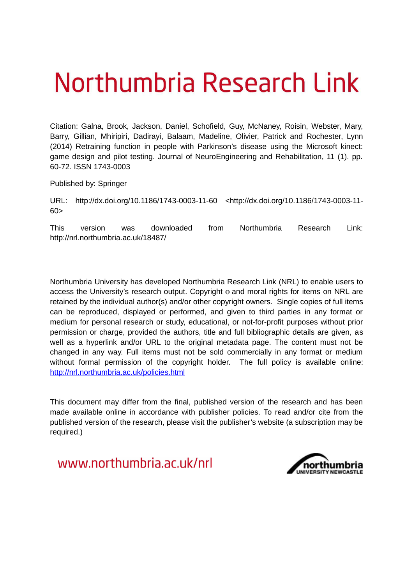# Northumbria Research Link

Citation: Galna, Brook, Jackson, Daniel, Schofield, Guy, McNaney, Roisin, Webster, Mary, Barry, Gillian, Mhiripiri, Dadirayi, Balaam, Madeline, Olivier, Patrick and Rochester, Lynn (2014) Retraining function in people with Parkinson's disease using the Microsoft kinect: game design and pilot testing. Journal of NeuroEngineering and Rehabilitation, 11 (1). pp. 60-72. ISSN 1743-0003

Published by: Springer

URL: http://dx.doi.org/10.1186/1743-0003-11-60 <http://dx.doi.org/10.1186/1743-0003-11-  $60>$ 

This version was downloaded from Northumbria Research Link: http://nrl.northumbria.ac.uk/18487/

Northumbria University has developed Northumbria Research Link (NRL) to enable users to access the University's research output. Copyright  $\circ$  and moral rights for items on NRL are retained by the individual author(s) and/or other copyright owners. Single copies of full items can be reproduced, displayed or performed, and given to third parties in any format or medium for personal research or study, educational, or not-for-profit purposes without prior permission or charge, provided the authors, title and full bibliographic details are given, as well as a hyperlink and/or URL to the original metadata page. The content must not be changed in any way. Full items must not be sold commercially in any format or medium without formal permission of the copyright holder. The full policy is available online: <http://nrl.northumbria.ac.uk/policies.html>

This document may differ from the final, published version of the research and has been made available online in accordance with publisher policies. To read and/or cite from the published version of the research, please visit the publisher's website (a subscription may be required.)

www.northumbria.ac.uk/nrl

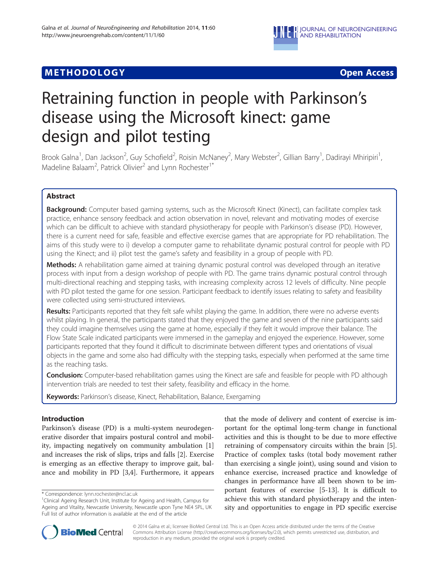

# <span id="page-1-0"></span>**METHODOLOGY CONSUMING ACCESS**

# Retraining function in people with Parkinson's disease using the Microsoft kinect: game design and pilot testing

Brook Galna<sup>1</sup>, Dan Jackson<sup>2</sup>, Guy Schofield<sup>2</sup>, Roisin McNaney<sup>2</sup>, Mary Webster<sup>2</sup>, Gillian Barry<sup>1</sup>, Dadirayi Mhiripiri<sup>1</sup> , Madeline Balaam<sup>2</sup>, Patrick Olivier<sup>2</sup> and Lynn Rochester<sup>1\*</sup>

# Abstract

Background: Computer based gaming systems, such as the Microsoft Kinect (Kinect), can facilitate complex task practice, enhance sensory feedback and action observation in novel, relevant and motivating modes of exercise which can be difficult to achieve with standard physiotherapy for people with Parkinson's disease (PD). However, there is a current need for safe, feasible and effective exercise games that are appropriate for PD rehabilitation. The aims of this study were to i) develop a computer game to rehabilitate dynamic postural control for people with PD using the Kinect; and ii) pilot test the game's safety and feasibility in a group of people with PD.

Methods: A rehabilitation game aimed at training dynamic postural control was developed through an iterative process with input from a design workshop of people with PD. The game trains dynamic postural control through multi-directional reaching and stepping tasks, with increasing complexity across 12 levels of difficulty. Nine people with PD pilot tested the game for one session. Participant feedback to identify issues relating to safety and feasibility were collected using semi-structured interviews.

Results: Participants reported that they felt safe whilst playing the game. In addition, there were no adverse events whilst playing. In general, the participants stated that they enjoyed the game and seven of the nine participants said they could imagine themselves using the game at home, especially if they felt it would improve their balance. The Flow State Scale indicated participants were immersed in the gameplay and enjoyed the experience. However, some participants reported that they found it difficult to discriminate between different types and orientations of visual objects in the game and some also had difficulty with the stepping tasks, especially when performed at the same time as the reaching tasks.

Conclusion: Computer-based rehabilitation games using the Kinect are safe and feasible for people with PD although intervention trials are needed to test their safety, feasibility and efficacy in the home.

Keywords: Parkinson's disease, Kinect, Rehabilitation, Balance, Exergaming

# Introduction

Parkinson's disease (PD) is a multi-system neurodegenerative disorder that impairs postural control and mobility, impacting negatively on community ambulation [\[1](#page-9-0)] and increases the risk of slips, trips and falls [[2\]](#page-9-0). Exercise is emerging as an effective therapy to improve gait, balance and mobility in PD [\[3,4](#page-9-0)]. Furthermore, it appears

that the mode of delivery and content of exercise is important for the optimal long-term change in functional activities and this is thought to be due to more effective retraining of compensatory circuits within the brain [\[5](#page-9-0)]. Practice of complex tasks (total body movement rather than exercising a single joint), using sound and vision to enhance exercise, increased practice and knowledge of changes in performance have all been shown to be important features of exercise [\[5](#page-9-0)-[13\]](#page-10-0). It is difficult to achieve this with standard physiotherapy and the intensity and opportunities to engage in PD specific exercise



© 2014 Galna et al.; licensee BioMed Central Ltd. This is an Open Access article distributed under the terms of the Creative Commons Attribution License [\(http://creativecommons.org/licenses/by/2.0\)](http://creativecommons.org/licenses/by/2.0), which permits unrestricted use, distribution, and reproduction in any medium, provided the original work is properly credited.

<sup>\*</sup> Correspondence: [lynn.rochester@ncl.ac.uk](mailto:lynn.rochester@ncl.ac.uk)

<sup>&</sup>lt;sup>1</sup>Clinical Ageing Research Unit, Institute for Ageing and Health, Campus for Ageing and Vitality, Newcastle University, Newcastle upon Tyne NE4 5PL, UK Full list of author information is available at the end of the article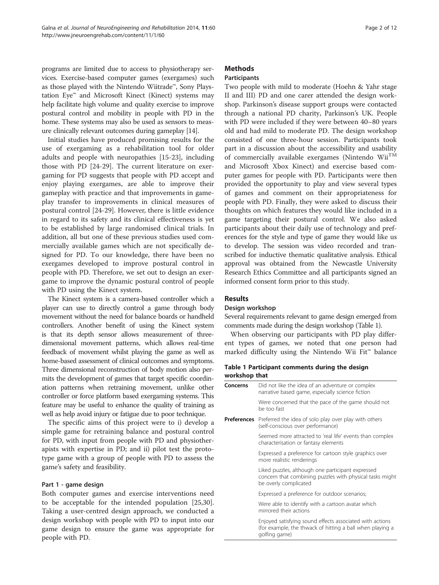<span id="page-2-0"></span>programs are limited due to access to physiotherapy services. Exercise-based computer games (exergames) such as those played with the Nintendo Wiitrade™, Sony Playstation Eye™ and Microsoft Kinect (Kinect) systems may help facilitate high volume and quality exercise to improve postural control and mobility in people with PD in the home. These systems may also be used as sensors to measure clinically relevant outcomes during gameplay [[14](#page-10-0)].

Initial studies have produced promising results for the use of exergaming as a rehabilitation tool for older adults and people with neuropathies [\[15](#page-10-0)-[23\]](#page-10-0), including those with PD [\[24](#page-10-0)-[29\]](#page-10-0). The current literature on exergaming for PD suggests that people with PD accept and enjoy playing exergames, are able to improve their gameplay with practice and that improvements in gameplay transfer to improvements in clinical measures of postural control [\[24](#page-10-0)-[29\]](#page-10-0). However, there is little evidence in regard to its safety and its clinical effectiveness is yet to be established by large randomised clinical trials. In addition, all but one of these previous studies used commercially available games which are not specifically designed for PD. To our knowledge, there have been no exergames developed to improve postural control in people with PD. Therefore, we set out to design an exergame to improve the dynamic postural control of people with PD using the Kinect system.

The Kinect system is a camera-based controller which a player can use to directly control a game through body movement without the need for balance boards or handheld controllers. Another benefit of using the Kinect system is that its depth sensor allows measurement of threedimensional movement patterns, which allows real-time feedback of movement whilst playing the game as well as home-based assessment of clinical outcomes and symptoms. Three dimensional reconstruction of body motion also permits the development of games that target specific coordination patterns when retraining movement, unlike other controller or force platform based exergaming systems. This feature may be useful to enhance the quality of training as well as help avoid injury or fatigue due to poor technique.

The specific aims of this project were to i) develop a simple game for retraining balance and postural control for PD, with input from people with PD and physiotherapists with expertise in PD; and ii) pilot test the prototype game with a group of people with PD to assess the game's safety and feasibility.

#### Part 1 - game design

Both computer games and exercise interventions need to be acceptable for the intended population [\[25,30](#page-10-0)]. Taking a user-centred design approach, we conducted a design workshop with people with PD to input into our game design to ensure the game was appropriate for people with PD.

# **Methods**

#### **Participants**

Two people with mild to moderate (Hoehn & Yahr stage II and III) PD and one carer attended the design workshop. Parkinson's disease support groups were contacted through a national PD charity, Parkinson's UK. People with PD were included if they were between 40–80 years old and had mild to moderate PD. The design workshop consisted of one three-hour session. Participants took part in a discussion about the accessibility and usability of commercially available exergames (Nintendo  $Wii^{TM}$ and Microsoft Xbox Kinect) and exercise based computer games for people with PD. Participants were then provided the opportunity to play and view several types of games and comment on their appropriateness for people with PD. Finally, they were asked to discuss their thoughts on which features they would like included in a game targeting their postural control. We also asked participants about their daily use of technology and preferences for the style and type of game they would like us to develop. The session was video recorded and transcribed for inductive thematic qualitative analysis. Ethical approval was obtained from the Newcastle University Research Ethics Committee and all participants signed an informed consent form prior to this study.

#### Results

#### Design workshop

Several requirements relevant to game design emerged from comments made during the design workshop (Table [1\)](#page-1-0).

When observing our participants with PD play different types of games, we noted that one person had marked difficulty using the Nintendo Wii Fit™ balance

Table 1 Participant comments during the design workshop that

| Concerns | Did not like the idea of an adventure or complex<br>narrative based game, especially science fiction                                   |  |  |  |  |
|----------|----------------------------------------------------------------------------------------------------------------------------------------|--|--|--|--|
|          | Were concerned that the pace of the game should not<br>be too fast                                                                     |  |  |  |  |
|          | <b>Preferences</b> Preferred the idea of solo play over play with others<br>(self-conscious over performance)                          |  |  |  |  |
|          | Seemed more attracted to 'real life' events than complex<br>characterisation or fantasy elements                                       |  |  |  |  |
|          | Expressed a preference for cartoon style graphics over<br>more realistic renderings                                                    |  |  |  |  |
|          | Liked puzzles, although one participant expressed<br>concern that combining puzzles with physical tasks might<br>be overly complicated |  |  |  |  |
|          | Expressed a preference for outdoor scenarios;                                                                                          |  |  |  |  |
|          | Were able to identify with a cartoon avatar which<br>mirrored their actions                                                            |  |  |  |  |
|          | Enjoyed satisfying sound effects associated with actions<br>(for example, the thwack of hitting a ball when playing a<br>golfing game) |  |  |  |  |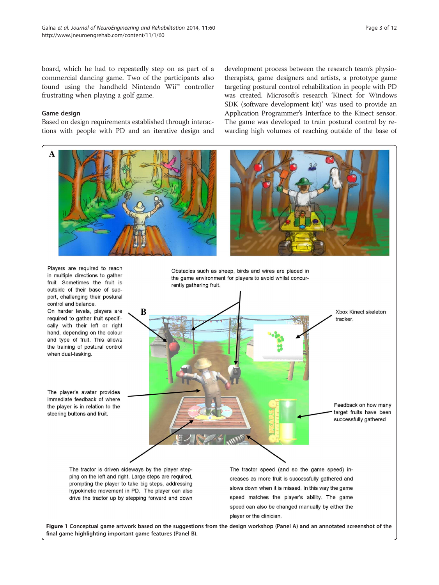board, which he had to repeatedly step on as part of a commercial dancing game. Two of the participants also found using the handheld Nintendo Wii™ controller frustrating when playing a golf game.

#### Game design

Based on design requirements established through interactions with people with PD and an iterative design and

development process between the research team's physiotherapists, game designers and artists, a prototype game targeting postural control rehabilitation in people with PD was created. Microsoft's research 'Kinect for Windows SDK (software development kit)' was used to provide an Application Programmer's Interface to the Kinect sensor. The game was developed to train postural control by rewarding high volumes of reaching outside of the base of

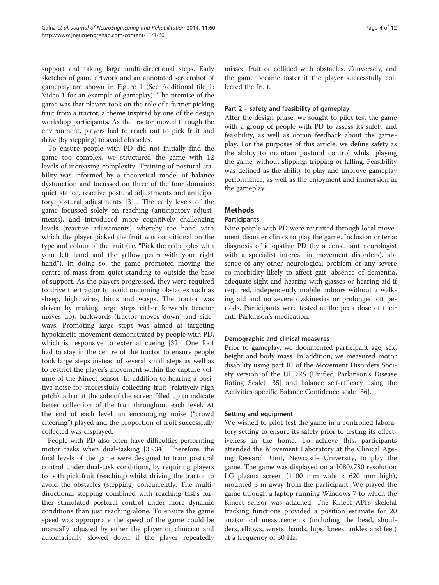<span id="page-4-0"></span>support and taking large multi-directional steps. Early sketches of game artwork and an annotated screenshot of gameplay are shown in Figure [1](#page-2-0) (See Additional file [1](#page-9-0): Video 1 for an example of gameplay). The premise of the game was that players took on the role of a farmer picking fruit from a tractor, a theme inspired by one of the design workshop participants. As the tractor moved through the environment, players had to reach out to pick fruit and drive (by stepping) to avoid obstacles.

To ensure people with PD did not initially find the game too complex, we structured the game with 12 levels of increasing complexity. Training of postural stability was informed by a theoretical model of balance dysfunction and focussed on three of the four domains: quiet stance, reactive postural adjustments and anticipatory postural adjustments [\[31\]](#page-10-0). The early levels of the game focussed solely on reaching (anticipatory adjustments), and introduced more cognitively challenging levels (reactive adjustments) whereby the hand with which the player picked the fruit was conditional on the type and colour of the fruit (i.e. "Pick the red apples with your left hand and the yellow pears with your right hand"). In doing so, the game promoted moving the centre of mass from quiet standing to outside the base of support. As the players progressed, they were required to drive the tractor to avoid oncoming obstacles such as sheep, high wires, birds and wasps. The tractor was driven by making large steps either forwards (tractor moves up), backwards (tractor moves down) and sideways. Promoting large steps was aimed at targeting hypokinetic movement demonstrated by people with PD, which is responsive to external cueing [[32](#page-10-0)]. One foot had to stay in the centre of the tractor to ensure people took large steps instead of several small steps as well as to restrict the player's movement within the capture volume of the Kinect sensor. In addition to hearing a positive noise for successfully collecting fruit (relatively high pitch), a bar at the side of the screen filled up to indicate better collection of the fruit throughout each level. At the end of each level, an encouraging noise ("crowd cheering") played and the proportion of fruit successfully collected was displayed.

People with PD also often have difficulties performing motor tasks when dual-tasking [[33,34\]](#page-10-0). Therefore, the final levels of the game were designed to train postural control under dual-task conditions, by requiring players to both pick fruit (reaching) whilst driving the tractor to avoid the obstacles (stepping) concurrently. The multidirectional stepping combined with reaching tasks further stimulated postural control under more dynamic conditions than just reaching alone. To ensure the game speed was appropriate the speed of the game could be manually adjusted by either the player or clinician and automatically slowed down if the player repeatedly

## Part 2 – safety and feasibility of gameplay

After the design phase, we sought to pilot test the game with a group of people with PD to assess its safety and feasibility, as well as obtain feedback about the gameplay. For the purposes of this article, we define safety as the ability to maintain postural control whilst playing the game, without slipping, tripping or falling. Feasibility was defined as the ability to play and improve gameplay performance, as well as the enjoyment and immersion in the gameplay.

# **Methods**

#### Participants

lected the fruit.

Nine people with PD were recruited through local movement disorder clinics to play the game. Inclusion criteria: diagnosis of idiopathic PD (by a consultant neurologist with a specialist interest in movement disorders), absence of any other neurological problem or any severe co-morbidity likely to affect gait, absence of dementia, adequate sight and hearing with glasses or hearing aid if required, independently mobile indoors without a walking aid and no severe dyskinesias or prolonged off periods. Participants were tested at the peak dose of their anti-Parkinson's medication.

#### Demographic and clinical measures

Prior to gameplay, we documented participant age, sex, height and body mass. In addition, we measured motor disability using part III of the Movement Disorders Society version of the UPDRS (Unified Parkinson's Disease Rating Scale) [[35](#page-10-0)] and balance self-efficacy using the Activities-specific Balance Confidence scale [[36\]](#page-10-0).

#### Setting and equipment

We wished to pilot test the game in a controlled laboratory setting to ensure its safety prior to testing its effectiveness in the home. To achieve this, participants attended the Movement Laboratory at the Clinical Ageing Research Unit, Newcastle University, to play the game. The game was displayed on a 1080x780 resolution LG plasma screen (1100 mm wide  $\times$  620 mm high), mounted 3 m away from the participant. We played the game through a laptop running Windows 7 to which the Kinect sensor was attached. The Kinect API's skeletal tracking functions provided a position estimate for 20 anatomical measurements (including the head, shoulders, elbows, wrists, hands, hips, knees, ankles and feet) at a frequency of 30 Hz.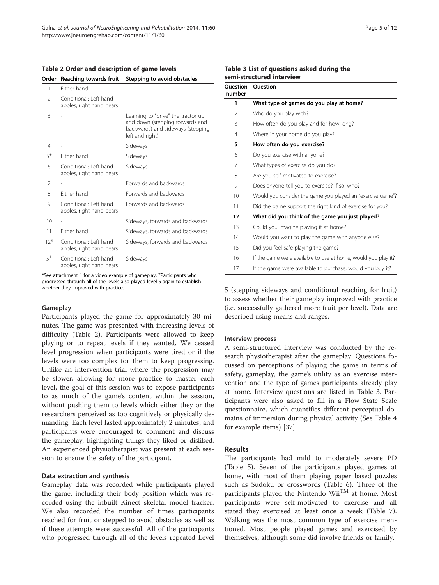<span id="page-5-0"></span>

|  |  |  |  |  | Table 2 Order and description of game levels |  |  |  |  |
|--|--|--|--|--|----------------------------------------------|--|--|--|--|
|--|--|--|--|--|----------------------------------------------|--|--|--|--|

| Order          | Reaching towards fruit                             | Stepping to avoid obstacles                                                                                                    |
|----------------|----------------------------------------------------|--------------------------------------------------------------------------------------------------------------------------------|
| 1              | Fither hand                                        |                                                                                                                                |
| $\mathcal{P}$  | Conditional: Left hand<br>apples, right hand pears |                                                                                                                                |
| 3              |                                                    | Learning to "drive" the tractor up<br>and down (stepping forwards and<br>backwards) and sideways (stepping<br>left and right). |
| $\overline{4}$ |                                                    | Sideways                                                                                                                       |
| $5^+$          | Fither hand                                        | Sideways                                                                                                                       |
| 6              | Conditional: Left hand<br>apples, right hand pears | Sideways                                                                                                                       |
| 7              |                                                    | Forwards and backwards                                                                                                         |
| 8              | Fither hand                                        | Forwards and backwards                                                                                                         |
| 9              | Conditional: Left hand<br>apples, right hand pears | Forwards and backwards                                                                                                         |
| 10             |                                                    | Sideways, forwards and backwards                                                                                               |
| 11             | Fither hand                                        | Sideways, forwards and backwards                                                                                               |
| $12*$          | Conditional: Left hand<br>apples, right hand pears | Sideways, forwards and backwards                                                                                               |
| $5^{+}$        | Conditional: Left hand<br>apples, right hand pears | Sideways                                                                                                                       |

\*See attachment 1 for a video example of gameplay; <sup>+</sup>Participants who progressed through all of the levels also played level 5 again to establish whether they improved with practice.

#### Gameplay

Participants played the game for approximately 30 minutes. The game was presented with increasing levels of difficulty (Table [2](#page-4-0)). Participants were allowed to keep playing or to repeat levels if they wanted. We ceased level progression when participants were tired or if the levels were too complex for them to keep progressing. Unlike an intervention trial where the progression may be slower, allowing for more practice to master each level, the goal of this session was to expose participants to as much of the game's content within the session, without pushing them to levels which either they or the researchers perceived as too cognitively or physically demanding. Each level lasted approximately 2 minutes, and participants were encouraged to comment and discuss the gameplay, highlighting things they liked or disliked. An experienced physiotherapist was present at each session to ensure the safety of the participant.

#### Data extraction and synthesis

Gameplay data was recorded while participants played the game, including their body position which was recorded using the inbuilt Kinect skeletal model tracker. We also recorded the number of times participants reached for fruit or stepped to avoid obstacles as well as if these attempts were successful. All of the participants who progressed through all of the levels repeated Level

| <b>Ouestion</b><br>number | <b>Ouestion</b>                                               |
|---------------------------|---------------------------------------------------------------|
| 1                         | What type of games do you play at home?                       |
| $\mathfrak{D}$            | Who do you play with?                                         |
| 3                         | How often do you play and for how long?                       |
| 4                         | Where in your home do you play?                               |
| 5                         | How often do you exercise?                                    |
| 6                         | Do you exercise with anyone?                                  |
| 7                         | What types of exercise do you do?                             |
| 8                         | Are you self-motivated to exercise?                           |
| 9                         | Does anyone tell you to exercise? If so, who?                 |
| 10                        | Would you consider the game you played an "exercise game"?    |
| 11                        | Did the game support the right kind of exercise for you?      |
| 12                        | What did you think of the game you just played?               |
| 13                        | Could you imagine playing it at home?                         |
| 14                        | Would you want to play the game with anyone else?             |
| 15                        | Did you feel safe playing the game?                           |
| 16                        | If the game were available to use at home, would you play it? |
| 17                        | If the game were available to purchase, would you buy it?     |

Table 3 List of questions asked during the semi-structured interview

5 (stepping sideways and conditional reaching for fruit) to assess whether their gameplay improved with practice (i.e. successfully gathered more fruit per level). Data are described using means and ranges.

#### Interview process

A semi-structured interview was conducted by the research physiotherapist after the gameplay. Questions focussed on perceptions of playing the game in terms of safety, gameplay, the game's utility as an exercise intervention and the type of games participants already play at home. Interview questions are listed in Table [3.](#page-4-0) Participants were also asked to fill in a Flow State Scale questionnaire, which quantifies different perceptual domains of immersion during physical activity (See Table 4 for example items) [[37](#page-10-0)].

#### Results

The participants had mild to moderately severe PD (Table 5). Seven of the participants played games at home, with most of them playing paper based puzzles such as Sudoku or crosswords (Table [6\)](#page-6-0). Three of the participants played the Nintendo Wii<sup>TM</sup> at home. Most participants were self-motivated to exercise and all stated they exercised at least once a week (Table [7](#page-7-0)). Walking was the most common type of exercise mentioned. Most people played games and exercised by themselves, although some did involve friends or family.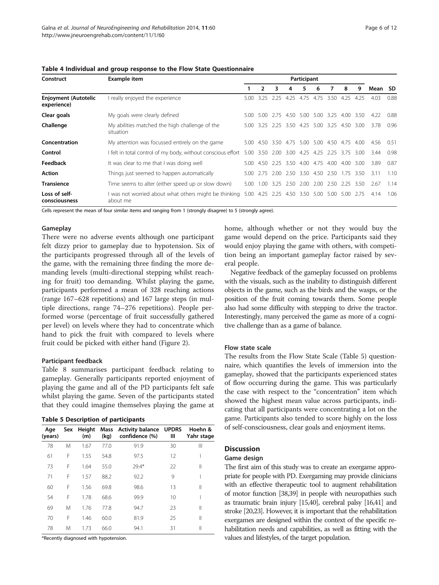| Construct                                  | <b>Example item</b>                                             |      | Participant                   |                |           |      |                          |      |           |           |         |      |
|--------------------------------------------|-----------------------------------------------------------------|------|-------------------------------|----------------|-----------|------|--------------------------|------|-----------|-----------|---------|------|
|                                            |                                                                 |      | $\overline{2}$                | 3.             | 4         | 5.   | 6                        | 7    | 8         | 9         | Mean SD |      |
| <b>Enjoyment (Autotelic</b><br>experience) | really enjoyed the experience                                   | 5.00 | 3.25                          | 2.25           | 4.25      | 4.75 | 4.75                     | 3.50 | 4.25      | 4.25      | 4.03    | 0.88 |
| Clear goals                                | My goals were clearly defined                                   |      | 5.00                          | 2.75           | 4.50 5.00 |      | 5.00                     | 3.25 | 4.00      | 3.50      | 4.22    | 0.88 |
| Challenge                                  | My abilities matched the high challenge of the<br>situation     |      | 5.00                          |                |           |      | 3.25 2.25 3.50 4.25 5.00 |      | 3.25 4.50 | 3.00      | 3.78    | 0.96 |
| Concentration                              | My attention was focussed entirely on the game                  | 5.00 | 4.50 3.50 4.75 5.00           |                |           |      | 5.00                     | 4.50 | 4.75 4.00 |           | 4.56    | 0.51 |
| Control                                    | felt in total control of my body, without conscious effort      | 5.00 | 3.50                          | 2.00           | 3.00 4.25 |      | 4.25 2.25                |      | 3.75      | 3.00      | 3.44    | 0.98 |
| Feedback                                   | It was clear to me that I was doing well                        |      | $5.00 \quad 4.50$             | 2.25 3.50 4.00 |           |      | 4.75                     | 4.00 | 4.00      | 3.00      | 3.89    | 0.87 |
| Action                                     | Things just seemed to happen automatically                      |      | 2.75<br>5.00                  | 2.00           | 2.50 3.50 |      | 4.50                     | 2.50 |           | 1.75 3.50 | 3.11    | 1.10 |
| <b>Transience</b>                          | Time seems to alter (either speed up or slow down)              | 5.00 | 1.00                          |                | 3.25 2.50 | 2.00 | 2.00                     | 2.50 | 2.25      | 3.50      | 2.67    | 1.14 |
| Loss of self-<br>consciousness             | was not worried about what others might be thinking<br>about me |      | 5.00 4.25 2.25 4.50 3.50 5.00 |                |           |      |                          | 5.00 | 5.00      | 2.75      | 4.14    | 1.06 |

<span id="page-6-0"></span>Table 4 Individual and group response to the Flow State Questionnaire

Cells represent the mean of four similar items and ranging from 1 (strongly disagree) to 5 (strongly agree).

#### Gameplay

There were no adverse events although one participant felt dizzy prior to gameplay due to hypotension. Six of the participants progressed through all of the levels of the game, with the remaining three finding the more demanding levels (multi-directional stepping whilst reaching for fruit) too demanding. Whilst playing the game, participants performed a mean of 328 reaching actions (range 167–628 repetitions) and 167 large steps (in multiple directions, range 74–276 repetitions). People performed worse (percentage of fruit successfully gathered per level) on levels where they had to concentrate which hand to pick the fruit with compared to levels where fruit could be picked with either hand (Figure [2](#page-7-0)).

#### Participant feedback

Table [8](#page-8-0) summarises participant feedback relating to gameplay. Generally participants reported enjoyment of playing the game and all of the PD participants felt safe whilst playing the game. Seven of the participants stated that they could imagine themselves playing the game at

| <b>Table 5 Description of participants</b> |
|--------------------------------------------|
|--------------------------------------------|

| Age<br>(years) | Sex | Height<br>(m) | Mass<br>(kg) | <b>Activity balance</b><br>confidence (%) | <b>UPDRS</b><br>Ш | Hoehn &<br>Yahr stage |
|----------------|-----|---------------|--------------|-------------------------------------------|-------------------|-----------------------|
| 78             | M   | 1.67          | 77.0         | 91.9                                      | 30                | Ш                     |
| 61             | F   | 1.55          | 54.8         | 97.5                                      | 12                |                       |
| 73             | F   | 1.64          | 55.0         | $29.4*$                                   | 22                | Ш                     |
| 71             | F   | 1.57          | 88.2         | 92.2                                      | 9                 |                       |
| 60             | F   | 1.56          | 69.8         | 98.6                                      | 13                | Ш                     |
| 54             | F   | 1.78          | 68.6         | 99.9                                      | 10                |                       |
| 69             | M   | 1.76          | 77.8         | 94.7                                      | 23                | Ш                     |
| 70             | F   | 1.46          | 60.0         | 81.9                                      | 25                | Ш                     |
| 78             | M   | 1.73          | 66.0         | 94.1                                      | 31                | Ш                     |

\*Recently diagnosed with hypotension.

home, although whether or not they would buy the game would depend on the price. Participants said they would enjoy playing the game with others, with competition being an important gameplay factor raised by several people.

Negative feedback of the gameplay focussed on problems with the visuals, such as the inability to distinguish different objects in the game, such as the birds and the wasps, or the position of the fruit coming towards them. Some people also had some difficulty with stepping to drive the tractor. Interestingly, many perceived the game as more of a cognitive challenge than as a game of balance.

#### Flow state scale

The results from the Flow State Scale (Table [5](#page-5-0)) questionnaire, which quantifies the levels of immersion into the gameplay, showed that the participants experienced states of flow occurring during the game. This was particularly the case with respect to the "concentration" item which showed the highest mean value across participants, indicating that all participants were concentrating a lot on the game. Participants also tended to score highly on the loss of self-consciousness, clear goals and enjoyment items.

#### **Discussion**

#### Game design

The first aim of this study was to create an exergame appropriate for people with PD. Exergaming may provide clinicians with an effective therapeutic tool to augment rehabilitation of motor function [\[38,39\]](#page-10-0) in people with neuropathies such as traumatic brain injury [\[15,40](#page-10-0)], cerebral palsy [\[16,41](#page-10-0)] and stroke [\[20,23\]](#page-10-0). However, it is important that the rehabilitation exergames are designed within the context of the specific rehabilitation needs and capabilities, as well as fitting with the values and lifestyles, of the target population.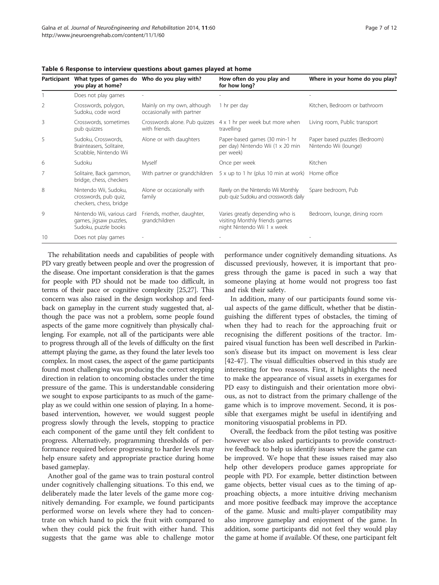| Participant    | What types of games do Who do you play with?<br>you play at home?            |                                                         | How often do you play and<br>for how long?                                                       | Where in your home do you play?                        |
|----------------|------------------------------------------------------------------------------|---------------------------------------------------------|--------------------------------------------------------------------------------------------------|--------------------------------------------------------|
|                | Does not play games                                                          |                                                         |                                                                                                  |                                                        |
| $\overline{2}$ | Crosswords, polygon,<br>Sudoku, code word                                    | Mainly on my own, although<br>occasionally with partner | 1 hr per day                                                                                     | Kitchen, Bedroom or bathroom                           |
| 3              | Crosswords, sometimes<br>pub quizzes                                         | Crosswords alone. Pub quizzes<br>with friends.          | 4 x 1 hr per week but more when<br>travelling                                                    | Living room, Public transport                          |
| 5              | Sudoku, Crosswords,<br>Brainteasers, Solitaire,<br>Scrabble, Nintendo Wii    | Alone or with daughters                                 | Paper-based games (30 min-1 hr<br>per day) Nintendo Wii (1 x 20 min<br>per week)                 | Paper based puzzles (Bedroom)<br>Nintendo Wii (lounge) |
| 6              | Sudoku                                                                       | Myself                                                  | Once per week                                                                                    | Kitchen                                                |
| 7              | Solitaire, Back gammon,<br>bridge, chess, checkers                           | With partner or grandchildren                           | 5 x up to 1 hr (plus 10 min at work)                                                             | Home office                                            |
| 8              | Nintendo Wii, Sudoku,<br>crosswords, pub quiz,<br>checkers, chess, bridge    | Alone or occasionally with<br>family                    | Rarely on the Nintendo Wii Monthly<br>pub quiz Sudoku and crosswords daily                       | Spare bedroom, Pub                                     |
| 9              | Nintendo Wii, various card<br>games, jigsaw puzzles,<br>Sudoku, puzzle books | Friends, mother, daughter,<br>grandchildren             | Varies greatly depending who is<br>visiting Monthly friends games<br>night Nintendo Wii 1 x week | Bedroom, lounge, dining room                           |
| 10             | Does not play games                                                          |                                                         |                                                                                                  |                                                        |

<span id="page-7-0"></span>Table 6 Response to interview questions about games played at home

The rehabilitation needs and capabilities of people with PD vary greatly between people and over the progression of the disease. One important consideration is that the games for people with PD should not be made too difficult, in terms of their pace or cognitive complexity [[25,27\]](#page-10-0). This concern was also raised in the design workshop and feedback on gameplay in the current study suggested that, although the pace was not a problem, some people found aspects of the game more cognitively than physically challenging. For example, not all of the participants were able to progress through all of the levels of difficulty on the first attempt playing the game, as they found the later levels too complex. In most cases, the aspect of the game participants found most challenging was producing the correct stepping direction in relation to oncoming obstacles under the time pressure of the game. This is understandable considering we sought to expose participants to as much of the gameplay as we could within one session of playing. In a homebased intervention, however, we would suggest people progress slowly through the levels, stopping to practice each component of the game until they felt confident to progress. Alternatively, programming thresholds of performance required before progressing to harder levels may help ensure safety and appropriate practice during home based gameplay.

Another goal of the game was to train postural control under cognitively challenging situations. To this end, we deliberately made the later levels of the game more cognitively demanding. For example, we found participants performed worse on levels where they had to concentrate on which hand to pick the fruit with compared to when they could pick the fruit with either hand. This suggests that the game was able to challenge motor

performance under cognitively demanding situations. As discussed previously, however, it is important that progress through the game is paced in such a way that someone playing at home would not progress too fast and risk their safety.

In addition, many of our participants found some visual aspects of the game difficult, whether that be distinguishing the different types of obstacles, the timing of when they had to reach for the approaching fruit or recognising the different positions of the tractor. Impaired visual function has been well described in Parkinson's disease but its impact on movement is less clear [[42-](#page-10-0)[47](#page-11-0)]. The visual difficulties observed in this study are interesting for two reasons. First, it highlights the need to make the appearance of visual assets in exergames for PD easy to distinguish and their orientation more obvious, as not to distract from the primary challenge of the game which is to improve movement. Second, it is possible that exergames might be useful in identifying and monitoring visuospatial problems in PD.

Overall, the feedback from the pilot testing was positive however we also asked participants to provide constructive feedback to help us identify issues where the game can be improved. We hope that these issues raised may also help other developers produce games appropriate for people with PD. For example, better distinction between game objects, better visual cues as to the timing of approaching objects, a more intuitive driving mechanism and more positive feedback may improve the acceptance of the game. Music and multi-player compatibility may also improve gameplay and enjoyment of the game. In addition, some participants did not feel they would play the game at home if available. Of these, one participant felt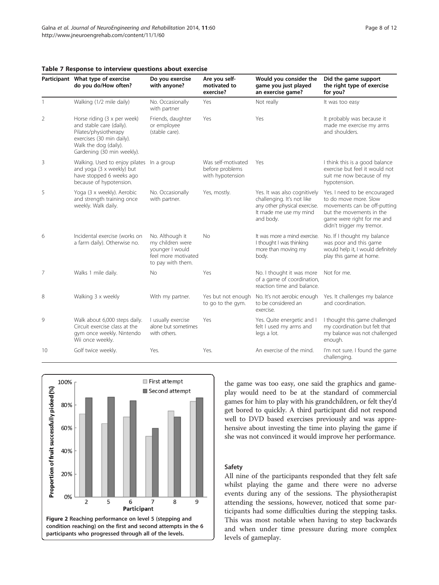|                | Participant What type of exercise<br>do you do/How often?                                                                                                            | Are you self-<br>Do you exercise<br>with anyone?<br>motivated to<br>exercise?<br>an exercise game? |                                         | Would you consider the<br>game you just played                                                                                    | Did the game support<br>the right type of exercise<br>for you?                                                                                                               |
|----------------|----------------------------------------------------------------------------------------------------------------------------------------------------------------------|----------------------------------------------------------------------------------------------------|-----------------------------------------|-----------------------------------------------------------------------------------------------------------------------------------|------------------------------------------------------------------------------------------------------------------------------------------------------------------------------|
| $\overline{1}$ | Walking (1/2 mile daily)                                                                                                                                             | No. Occasionally<br>with partner                                                                   | Yes                                     | Not really                                                                                                                        | It was too easy                                                                                                                                                              |
| 2              | Horse riding (3 x per week)<br>and stable care (daily).<br>Pilates/physiotherapy<br>exercises (30 min daily).<br>Walk the dog (daily).<br>Gardening (30 min weekly). | Friends, daughter<br>or employee<br>(stable care).                                                 | Yes                                     | Yes                                                                                                                               | It probably was because it<br>made me exercise my arms<br>and shoulders.                                                                                                     |
| 3              | Walking. Used to enjoy pilates<br>and yoga (3 x weekly) but<br>have stopped 6 weeks ago<br>because of hypotension.                                                   | Was self-motivated<br>In a group<br>Yes<br>before problems<br>with hypotension                     |                                         | I think this is a good balance<br>exercise but feel it would not<br>suit me now because of my<br>hypotension.                     |                                                                                                                                                                              |
| 5              | Yoga (3 x weekly). Aerobic<br>and strength training once<br>weekly. Walk daily.                                                                                      | No. Occasionally<br>with partner.                                                                  | Yes, mostly.                            | Yes. It was also cognitively<br>challenging. It's not like<br>any other physical exercise.<br>It made me use my mind<br>and body. | Yes. I need to be encouraged<br>to do move more. Slow<br>movements can be off-putting<br>but the movements in the<br>game were right for me and<br>didn't trigger my tremor. |
| 6              | Incidental exercise (works on<br>a farm daily). Otherwise no.                                                                                                        | No. Although it<br>my children were<br>younger I would<br>feel more motivated<br>to pay with them. | <b>No</b>                               | It was more a mind exercise.<br>I thought I was thinking<br>more than moving my<br>body.                                          | No. If I thought my balance<br>was poor and this game<br>would help it, I would definitely<br>play this game at home.                                                        |
| $\overline{7}$ | Walks 1 mile daily.                                                                                                                                                  | <b>No</b>                                                                                          | Yes                                     | No. I thought it was more<br>of a game of coordination,<br>reaction time and balance.                                             | Not for me.                                                                                                                                                                  |
| 8              | Walking 3 x weekly                                                                                                                                                   | With my partner.                                                                                   | Yes but not enough<br>to go to the gym. | No. It's not aerobic enough<br>to be considered an<br>exercise.                                                                   | Yes. It challenges my balance<br>and coordination.                                                                                                                           |
| 9              | Walk about 6,000 steps daily.<br>Circuit exercise class at the<br>gym once weekly. Nintendo<br>Wii once weekly.                                                      | I usually exercise<br>alone but sometimes<br>with others.                                          | Yes                                     | Yes. Quite energetic and I<br>felt I used my arms and<br>legs a lot.                                                              | I thought this game challenged<br>my coordination but felt that<br>my balance was not challenged<br>enough.                                                                  |
| 10             | Golf twice weekly.                                                                                                                                                   | Yes.                                                                                               | Yes.                                    | An exercise of the mind.                                                                                                          | I'm not sure. I found the game<br>challenging.                                                                                                                               |

## <span id="page-8-0"></span>Table 7 Response to interview questions about exercise



the game was too easy, one said the graphics and gameplay would need to be at the standard of commercial games for him to play with his grandchildren, or felt they'd get bored to quickly. A third participant did not respond well to DVD based exercises previously and was apprehensive about investing the time into playing the game if she was not convinced it would improve her performance.

#### Safety

All nine of the participants responded that they felt safe whilst playing the game and there were no adverse events during any of the sessions. The physiotherapist attending the sessions, however, noticed that some participants had some difficulties during the stepping tasks. This was most notable when having to step backwards and when under time pressure during more complex levels of gameplay.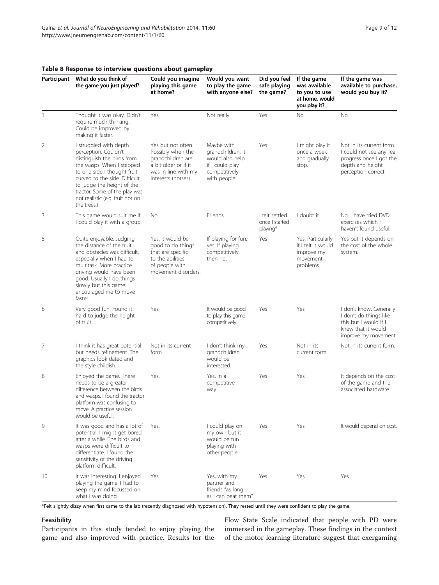#### Participant What do you think of the game you just played? Could you imagine playing this game at home? Would you want to play the game with anyone else? Did you feel safe playing the game? If the game was available to you to use at home, would you play it? If the game was available to purchase, would you buy it? 1 Thought it was okay. Didn't require much thinking. Could be improved by making it faster. Yes Not really Yes No No 2 I struggled with depth perception. Couldn't distinguish the birds from the wasps. When I stepped to one side I thought fruit curved to the side. Difficult to judge the height of the tractor. Some of the play was not realistic (e.g. fruit not on the trees.) Yes but not often. Possibly when the grandchildren are a bit older or if it was in line with my interests (horses). Maybe with grandchildren. It would also help if I could play competitively with people. Yes I might play it once a week and gradually stop. Not in its current form. I could not see any real progress once I got the depth and height perception correct. 3 This game would suit me if I could play it with a group. No Friends I felt settled once I started playing\* I doubt it. No. I have tried DVD exercises which I haven't found useful. 5 Quite enjoyable. Judging the distance of the fruit and obstacles was difficult, especially when I had to multitask. More practice driving would have been good. Usually I do things slowly but this game encouraged me to move faster. Yes. It would be good to do things that are specific to the abilities of people with movement disorders. If playing for fun, yes. If playing competitively, then no. Yes. Particularly if I felt it would improve my movement problems. Yes but it depends on the cost of the whole system. 6 Very good fun. Found it hard to judge the height of fruit. Yes It would be good to play this game competitively. Yes Yes I don't know. Generally I don't do things like this but I would if I knew that it would improve my movement. 7 I think it has great potential but needs refinement. The graphics look dated and the style childish. Not in its current form. I don't think my grandchildren would be interested. Yes Not in its current form. Not in its current form. 8 Enjoyed the game. There needs to be a greater difference between the birds and wasps. I found the tractor platform was confusing to move. A practice session would be useful. Yes. Yes, in a competitive way. Yes Yes It depends on the cost of the game and the associated hardware. 9 It was good and has a lot of potential. I might get bored after a while. The birds and wasps were difficult to differentiate. I found the sensitivity of the driving platform difficult. Yes. I could play on my own but it would be fun playing with other people. Yes Yes It would depend on cost. 10 It was interesting. I enjoyed playing the game. I had to keep my mind focussed on what I was doing. Yes Yes, with my partner and friends "as long as I can beat them" Yes Yes Yes

#### <span id="page-9-0"></span>Table 8 Response to interview questions about gameplay

\*Felt slightly dizzy when first came to the lab (recently diagnosed with hypotension). They rested until they were confident to play the game.

#### Feasibility

Participants in this study tended to enjoy playing the game and also improved with practice. Results for the

Flow State Scale indicated that people with PD were immersed in the gameplay. These findings in the context of the motor learning literature suggest that exergaming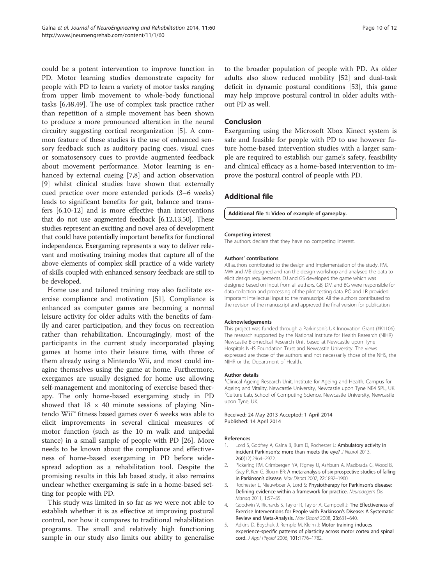<span id="page-10-0"></span>could be a potent intervention to improve function in PD. Motor learning studies demonstrate capacity for people with PD to learn a variety of motor tasks ranging from upper limb movement to whole-body functional tasks [6,[48,49\]](#page-11-0). The use of complex task practice rather than repetition of a simple movement has been shown to produce a more pronounced alteration in the neural circuitry suggesting cortical reorganization [\[5](#page-9-0)]. A common feature of these studies is the use of enhanced sensory feedback such as auditory pacing cues, visual cues or somatosensory cues to provide augmented feedback about movement performance. Motor learning is enhanced by external cueing [7,8] and action observation [9] whilst clinical studies have shown that externally cued practice over more extended periods (3–6 weeks) leads to significant benefits for gait, balance and transfers [6,10-12] and is more effective than interventions that do not use augmented feedback [6,12,13,[50](#page-11-0)]. These studies represent an exciting and novel area of development that could have potentially important benefits for functional independence. Exergaming represents a way to deliver relevant and motivating training modes that capture all of the above elements of complex skill practice of a wide variety of skills coupled with enhanced sensory feedback are still to be developed.

Home use and tailored training may also facilitate exercise compliance and motivation [[51\]](#page-11-0). Compliance is enhanced as computer games are becoming a normal leisure activity for older adults with the benefits of family and carer participation, and they focus on recreation rather than rehabilitation. Encouragingly, most of the participants in the current study incorporated playing games at home into their leisure time, with three of them already using a Nintendo Wii, and most could imagine themselves using the game at home. Furthermore, exergames are usually designed for home use allowing self-management and monitoring of exercise based therapy. The only home-based exergaming study in PD showed that  $18 \times 40$  minute sessions of playing Nintendo Wii™ fitness based games over 6 weeks was able to elicit improvements in several clinical measures of motor function (such as the 10 m walk and unipedal stance) in a small sample of people with PD [26]. More needs to be known about the compliance and effectiveness of home-based exergaming in PD before widespread adoption as a rehabilitation tool. Despite the promising results in this lab based study, it also remains unclear whether exergaming is safe in a home-based setting for people with PD.

This study was limited in so far as we were not able to establish whether it is as effective at improving postural control, nor how it compares to traditional rehabilitation programs. The small and relatively high functioning sample in our study also limits our ability to generalise to the broader population of people with PD. As older adults also show reduced mobility [\[52](#page-11-0)] and dual-task deficit in dynamic postural conditions [[53\]](#page-11-0), this game may help improve postural control in older adults without PD as well.

#### Conclusion

Exergaming using the Microsoft Xbox Kinect system is safe and feasible for people with PD to use however future home-based intervention studies with a larger sample are required to establish our game's safety, feasibility and clinical efficacy as a home-based intervention to improve the postural control of people with PD.

#### Additional file

#### [Additional file 1:](http://www.biomedcentral.com/content/supplementary/1743-0003-11-60-S1.mp4) Video of example of gameplay.

#### Competing interest

The authors declare that they have no competing interest.

#### Authors' contributions

All authors contributed to the design and implementation of the study. RM, MW and MB designed and ran the design workshop and analysed the data to elicit design requirements. DJ and GS developed the game which was designed based on input from all authors. GB, DM and BG were responsible for data collection and processing of the pilot testing data. PO and LR provided important intellectual input to the manuscript. All the authors contributed to the revision of the manuscript and approved the final version for publication.

#### Acknowledgements

This project was funded through a Parkinson's UK Innovation Grant (#K1106). The research supported by the National Institute for Health Research (NIHR) Newcastle Biomedical Research Unit based at Newcastle upon Tyne Hospitals NHS Foundation Trust and Newcastle University. The views expressed are those of the authors and not necessarily those of the NHS, the NIHR or the Department of Health.

#### Author details

<sup>1</sup>Clinical Ageing Research Unit, Institute for Ageing and Health, Campus for Ageing and Vitality, Newcastle University, Newcastle upon Tyne NE4 5PL, UK. <sup>2</sup>Culture Lab, School of Computing Science, Newcastle University, Newcastle upon Tyne, UK.

Received: 24 May 2013 Accepted: 1 April 2014 Published: 14 April 2014

#### References

- 1. Lord S, Godfrey A, Galna B, Burn D, Rochester L: Ambulatory activity in incident Parkinson's: more than meets the eye? *J Neurol* 2013, 260(12):2964–2972.
- 2. Pickering RM, Grimbergen YA, Rigney U, Ashburn A, Mazibrada G, Wood B, Gray P, Kerr G, Bloem BR: A meta-analysis of six prospective studies of falling in Parkinson's disease. *Mov Disord* 2007, 22:1892–1900.
- 3. Rochester L, Nieuwboer A, Lord S: Physiotherapy for Parkinson's disease: Defining evidence within a framework for practice. *Neurodegern Dis Manag* 2011, 1:57–65.
- 4. Goodwin V, Richards S, Taylor R, Taylor A, Campbell J: The Effectiveness of Exercise Interventions for People with Parkinson's Disease: A Systematic Review and Meta-Analysis. *Mov Disord* 2008, 23:631–640.
- 5. Adkins D, Boychuk J, Remple M, Kleim J: Motor training induces experience-specific patterns of plasticity across motor cortex and spinal cord. *J Appl Physiol* 2006, 101:1776–1782.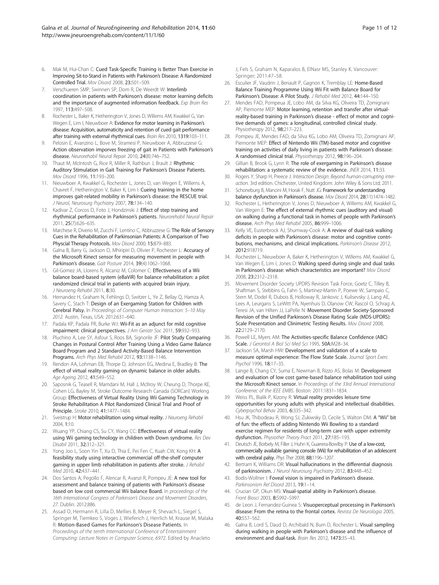- <span id="page-11-0"></span>6. Mak M, Hui-Chan C: Cued Task-Specific Training is Better Than Exercise in Improving Sit-to-Stand in Patients with Parkinson's Disease: A Randomized Controlled Trial. *Mov Disord* 2008, 23:501–509.
- 7. Verschueren SMP, Swinnen SP, Dom R, De Weerdt W: Interlimb coordination in patients with Parkinson's disease: motor learning deficits and the importance of augmented information feedback. *Exp Brain Res* 1997, 113:497–508.
- 8. Rochester L, Baker K, Hetherington V, Jones D, Willems AM, Kwakkel G, Van Wegen E, Lim I, Nieuwboer A: Evidence for motor learning in Parkinson's disease: Acquisition, automaticity and retention of cued gait performance after training with external rhythmical cues. *Brain Res* 2010, 1319:103–111.
- 9. Pelosin E, Avanzino L, Bove M, Stramesi P, Nieuwboer A, Abbruzzese G: Action observation imporves freezing of gait in Patients with Parkinson's disease. *Neurorehabil Neural Repair* 2010, 24(8):746–752.
- 10. Thaut M, McIntosh G, Rice R, Miller R, Rathbun J, Brault J: Rhythmic Auditory Stimulation in Gait Training for Parkinson's Disease Patients. *Mov Disord* 1996, 11:193–200.
- 11. Nieuwboer A, Kwakkel G, Rochester L, Jones D, van Wegen E, Willems A, Chavret F, Hetherington V, Baker K, Lim I: Cueing training in the home improves gait-related mobility in Parkinson's disease: the RESCUE trial. *J Neurol, Neurosurg Psychiatry* 2007, 78:134–140.
- 12. Kadivar Z, Corcos D, Foto J, Hondzinski J: Effect of step training and rhythmical performance in Parkinson's patients. *Neurorehabil Neural Repair* 2011, 25(7):626–635.
- 13. Marchese R, Diverio M, Zucchi F, Lentino C, Abbruzzese G: The Role of Sensory Cues in the Rehabilitation of Parkinsonian Patients: A Comparison of Two Physcial Therapy Protocols. *Mov Disord* 2000, 15:879–883.
- 14. Galna B, Barry G, Jackson D, Mhiripiri D, Olivier P, Rochester L: Accuracy of the Microsoft Kinect sensor for measuring movement in people with Parkinson's disease. *Gait Posture* 2014, 39(4):1062–1068.
- 15. Gil-Gomez JA, Llorens R, Alcaniz M, Colomer C: Effectiveness of a Wii balance board-based system (eBaViR) for balance rehabilitation: a pilot randomized clinical trial in patients with acquired brain injury. *J Neuroeng Rehabil* 2011, 8:30.
- 16. Hernandez H, Graham N, Fehlings D, Switzer L, Ye Z, Bellay Q, Hamza A, Savery C, Stach T: Design of an Exergaming Station for Children with Cerebral Palsy. In *Proceedings of Computer Human Interaction: 5*–*10 May 2012.* Austin, Texas, USA: 2012:631–640.
- 17. Padala KP, Padala PR, Burke WJ: Wii-Fit as an adjunct for mild cognitive impairment: clinical perspectives. *J Am Geriatr Soc* 2011, 59:932–933.
- 18. Pluchino A, Lee SY, Asfour S, Roos BA, Signorile JF: Pilot Study Comparing Changes in Postural Control After Training Using a Video Game Balance Board Program and 2 Standard Activity-Based Balance Intervention Programs. *Arch Phys Med Rehabil* 2012, 93:1138–1146.
- 19. Rendon AA, Lohman EB, Thorpe D, Johnson EG, Medina E, Bradley B: The effect of virtual reality gaming on dynamic balance in older adults. *Age Ageing* 2012, 41:549–552.
- 20. Saposnik G, Teasell R, Mamdani M, Hall J, McIlroy W, Cheung D, Thorpe KE, Cohen LG, Bayley M, Stroke Outcome Research Canada (SORCan) Working Group: Effectiveness of Virtual Reality Using Wii Gaming Technology in Stroke Rehabilitation A Pilot Randomized Clinical Trial and Proof of Principle. *Stroke* 2010, 41:1477–1484.
- 21. Sveistrup H: Motor rehabilitation using virtual reality. *J Neuroeng Rehabil* 2004, 1:10.
- 22. Wuang YP, Chiang CS, Su CY, Wang CC: Effectiveness of virtual reality using Wii gaming technology in children with Down syndrome. *Res Dev Disabil* 2011, 32:312–321.
- 23. Yong Joo L, Soon Yin T, Xu D, Thia E, Pei Fen C, Kuah CW, Kong KH: A feasibility study using interactive commercial off-the-shelf computer gaming in upper limb rehabilitation in patients after stroke. *J Rehabil Med* 2010, 42:437–441.
- 24. Dos Santos A, Pegollo F, Alencar R, Avanzi R, Pompeu JE: A new tool for assessment and balance training of patients with Parkinson's disease based on low cost commercial Wii balance Board. In *proceedings of the 16th International Congress of Parkinson*'*s Disease and Movement Disorders, 27.* Dublin: 2012:886.
- 25. Assad O, Hermann R, Lilla D, Mellies B, Meyer R, Shevach L, Siegel S, Springer M, Tiemkeo S, Voges J, Wieferich J, Herrlich M, Krause M, Malaka R: Motion-Based Games for Parkinson's Disease Patients. In *Proceedings of the tenth International Conference of Entertainment Computing: Lecture Notes in Computer Science, 6972.* Edited by Anacleto

J, Fels S, Graham N, Kaparalos B, ElNasr MS, Stanley K. Vancouver: Springer; 2011:47–58.

- 26. Esculier JF, Vaudrin J, Beriault P, Gagnon K, Tremblay LE: Home-Based Balance Training Programme Using Wii Fit with Balance Board for Parkinson's Disease: A Pilot Study. *J Rehabil Med* 2012, 44:144–150.
- 27. Mendes FAD, Pompeua JE, Lobo AM, da Silva KG, Oliveira TD, Zomignani AP, Piemonte MEP: Motor learning, retention and transfer after virtualreality-based training in Parkinson's disease - effect of motor and cognitive demands of games: a longitudinal, controlled clinical study. *Physiotherapy* 2012, 98:217–223.
- Pompeu JE, Mendes FAD, da Silva KG, Lobo AM, Oliveira TD, Zomignani AP, Piemonte MEP: Effect of Nintendo Wii (TM)-based motor and cognitive training on activities of daily living in patients with Parkinson's disease: A randomised clinical trial. *Physiotherapy* 2012, 98:196–204.
- 29. Gillian B, Brook G, Lynn R: The role of exergaming in Parkinson's disease rehabilitation: a systematic review of the evidence. *JNER* 2014, 11:33.
- 30. Rogers Y, Sharp H, Preece J: *Interaction Design: Beyond human-comupting interaction.* 3rd edition. Chichester, United Kingdom: John Wiley & Sons Ltd; 2011.
- 31. Schoneburg B, Mancini M, Horak F, Nutt JG: Framework for understanding balance dysfunction in Parkinson's disease. *Mov Disord* 2014, 28(11):1474–1482.
- 32. Rochester L, Hetherington V, Jones D, Nieuwboer A, Willems AM, Kwakkel G, Van Wegen E: The effect of external rhythmic cues (auditory and visual) on walking during a functional task in homes of people with Parkinson's disease. *Arch Phys Med Rehabil* 2005, 86:999–1006.
- 33. Kelly VE, Eusterbrock AJ, Shumway-Cook A: A review of dual-task walking deficits in people with Parkinson's disease: motor and cognitive contributions, mechanisms, and clinical implications. *Parkinson*'*s Disease* 2012, 2012:918719.
- 34. Rochester L, Nieuwboer A, Baker K, Hetherington V, Willems AM, Kwakkel G, Van Wegen E, Lim I, Jones D: Walking speed during single and dual tasks in Parkinson's disease: which characteristics are important? *Mov Disord* 2008, 23:2312–2318.
- 35. Movement Disorder Society UPDRS Revision Task Force, Goetz C, Tilley B, Shaftman S, Stebbins G, Fahn S, Martinez-Martin P, Poewe W, Sampaio C, Stern M, Dodel R, Dubois B, Holloway R, Jankovic J, Kulisevsky J, Lang AE, Lees A, Leurgans S, LeWitt PA, Nyenhuis D, Olanow CW, Rascol O, Schrag A, Teresi JA, van Hilten JJ, LaPelle N: Movement Disorder Society-Sponsored Revision of the Unified Parkinson's Disease Rating Scale (MDS-UPDRS): Scale Presentation and Clinimetric Testing Results. *Mov Disord* 2008, 22:2129–2170.
- 36. Powell LE, Myers AM: The Activities-specific Balance Confidence (ABC) Scale. *J Gerontol A Biol Sci Med Sci* 1995, 50A:M28–34.
- 37. Jackson SA, Marsh HW: Development and validation of a scale to measure optimal experience: The Flow State Scale. *Journal Sport Exerc Psychol* 1996, 18:17–35.
- 38. Lange B, Chang CY, Suma E, Newman B, Rizzo AS, Bolas M: Development and evaluation of low cost game-based balance rehabilitation tool using the Microsoft Kinect sensor. In *Proceedings of the 33rd Annual International Conferenec of the IEEE EMBS.* Boston: 2011:1831–1834.
- Weiss PL, Bialik P, Kizony R: Virtual reality provides leisure time opportunities for young adults with physical and intellectual disabilities. *Cyberpsychol Behav* 2003, 6:335–342.
- 40. Hsu JK, Thibodeau R, Wong SJ, Zukiwsky D, Cecile S, Walton DM: A "Wii" bit of fun: the effects of adding Nintendo Wii Bowling to a standard exercise regimen for residents of long-term care with upper extremity dysfunction. *Physiother Theory Pract* 2011, 27:185–193.
- 41. Deutsch JE, Borbely M, Filler J, Huhn K, Guarrera-Bowlby P: Use of a low-cost, commercially available gaming console (Wii) for rehabilitation of an adolescent with cerebral palsy. *Phys Ther* 2008, 88:1196–1207.
- 42. Bertram K, Williams DR: Visual hallucinations in the differential diagnosis of parkinsonism. *J Neurol Neurosurg Psychiatry* 2012, 83:448–452.
- 43. Bodis-Wollner I: Foveal vision is impaired in Parkinson's disease. *Parkinsonism Rel Disord* 2013, 19:1–14.
- 44. Crucian GP, Okun MS: Visual-spatial ability in Parkinson's disease. *Front Biosci* 2003, 8:S992–S997.
- 45. de Leon J, Fernandez-Guinea S: Visuoperceptual processing in Parkinson's disease: From the retina to the frontal cortex. *Revista De Neurologia* 2005, 40:557–562.
- 46. Galna B, Lord S, Daud D, Archibald N, Burn D, Rochester L: Visual sampling during walking in people with Parkinson's disease and the influence of environment and dual-task. *Brain Res* 2012, 1473:35–43.